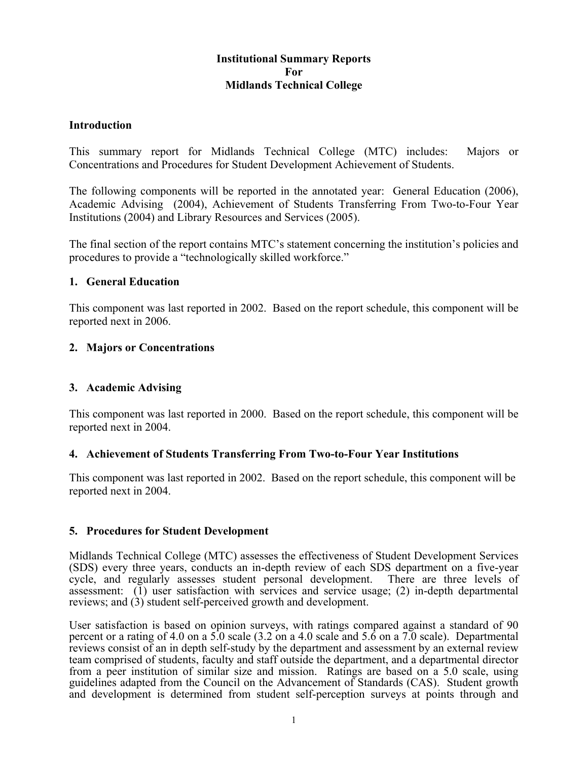# **Institutional Summary Reports For Midlands Technical College**

### **Introduction**

This summary report for Midlands Technical College (MTC) includes: Majors or Concentrations and Procedures for Student Development Achievement of Students.

The following components will be reported in the annotated year: General Education (2006), Academic Advising (2004), Achievement of Students Transferring From Two-to-Four Year Institutions (2004) and Library Resources and Services (2005).

The final section of the report contains MTC's statement concerning the institution's policies and procedures to provide a "technologically skilled workforce."

### **1. General Education**

This component was last reported in 2002. Based on the report schedule, this component will be reported next in 2006.

### **2. Majors or Concentrations**

# **3. Academic Advising**

This component was last reported in 2000. Based on the report schedule, this component will be reported next in 2004.

#### **4. Achievement of Students Transferring From Two-to-Four Year Institutions**

This component was last reported in 2002. Based on the report schedule, this component will be reported next in 2004.

#### **5. Procedures for Student Development**

Midlands Technical College (MTC) assesses the effectiveness of Student Development Services (SDS) every three years, conducts an in-depth review of each SDS department on a five-year cycle, and regularly assesses student personal development. There are three levels of assessment: (1) user satisfaction with services and service usage; (2) in-depth departmental reviews; and (3) student self-perceived growth and development.

User satisfaction is based on opinion surveys, with ratings compared against a standard of 90 percent or a rating of 4.0 on a 5.0 scale (3.2 on a 4.0 scale and 5.6 on a 7.0 scale). Departmental reviews consist of an in depth self-study by the department and assessment by an external review team comprised of students, faculty and staff outside the department, and a departmental director from a peer institution of similar size and mission. Ratings are based on a 5.0 scale, using guidelines adapted from the Council on the Advancement of Standards (CAS). Student growth and development is determined from student self-perception surveys at points through and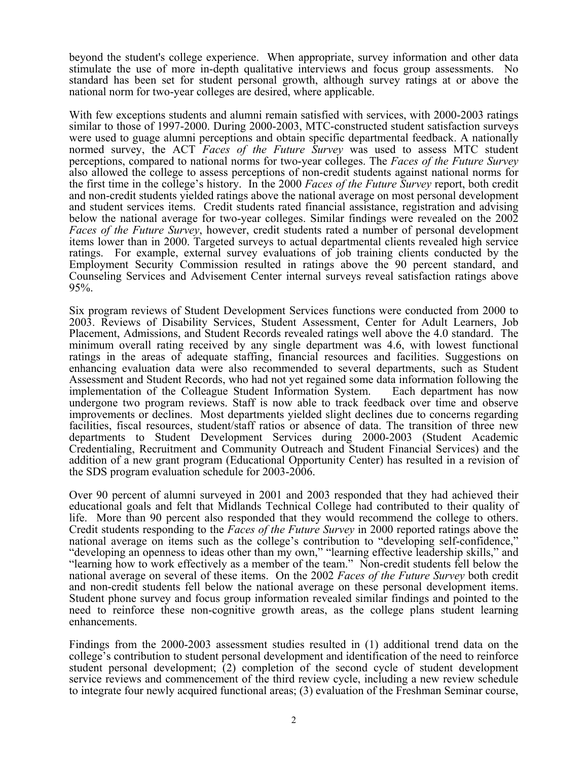beyond the student's college experience. When appropriate, survey information and other data stimulate the use of more in-depth qualitative interviews and focus group assessments. No standard has been set for student personal growth, although survey ratings at or above the national norm for two-year colleges are desired, where applicable.

With few exceptions students and alumni remain satisfied with services, with 2000-2003 ratings similar to those of 1997-2000. During 2000-2003, MTC-constructed student satisfaction surveys were used to guage alumni perceptions and obtain specific departmental feedback. A nationally normed survey, the ACT *Faces of the Future Survey* was used to assess MTC student perceptions, compared to national norms for two-year colleges. The *Faces of the Future Survey* also allowed the college to assess perceptions of non-credit students against national norms for the first time in the college's history. In the 2000 *Faces of the Future Survey* report, both credit and non-credit students yielded ratings above the national average on most personal development and student services items. Credit students rated financial assistance, registration and advising below the national average for two-year colleges. Similar findings were revealed on the 2002 *Faces of the Future Survey*, however, credit students rated a number of personal development items lower than in 2000. Targeted surveys to actual departmental clients revealed high service ratings. For example, external survey evaluations of job training clients conducted by the Employment Security Commission resulted in ratings above the 90 percent standard, and Counseling Services and Advisement Center internal surveys reveal satisfaction ratings above 95%.

Six program reviews of Student Development Services functions were conducted from 2000 to 2003. Reviews of Disability Services, Student Assessment, Center for Adult Learners, Job Placement, Admissions, and Student Records revealed ratings well above the 4.0 standard. The minimum overall rating received by any single department was 4.6, with lowest functional ratings in the areas of adequate staffing, financial resources and facilities. Suggestions on enhancing evaluation data were also recommended to several departments, such as Student Assessment and Student Records, who had not yet regained some data information following the implementation of the Colleague Student Information System. Each department has now undergone two program reviews. Staff is now able to track feedback over time and observe improvements or declines. Most departments yielded slight declines due to concerns regarding facilities, fiscal resources, student/staff ratios or absence of data. The transition of three new departments to Student Development Services during 2000-2003 (Student Academic Credentialing, Recruitment and Community Outreach and Student Financial Services) and the addition of a new grant program (Educational Opportunity Center) has resulted in a revision of the SDS program evaluation schedule for 2003-2006.

Over 90 percent of alumni surveyed in 2001 and 2003 responded that they had achieved their educational goals and felt that Midlands Technical College had contributed to their quality of life. More than 90 percent also responded that they would recommend the college to others. Credit students responding to the *Faces of the Future Survey* in 2000 reported ratings above the national average on items such as the college's contribution to "developing self-confidence," "developing an openness to ideas other than my own," "learning effective leadership skills," and "learning how to work effectively as a member of the team." Non-credit students fell below the national average on several of these items. On the 2002 *Faces of the Future Survey* both credit and non-credit students fell below the national average on these personal development items. Student phone survey and focus group information revealed similar findings and pointed to the need to reinforce these non-cognitive growth areas, as the college plans student learning enhancements.

Findings from the 2000-2003 assessment studies resulted in (1) additional trend data on the college's contribution to student personal development and identification of the need to reinforce student personal development; (2) completion of the second cycle of student development service reviews and commencement of the third review cycle, including a new review schedule to integrate four newly acquired functional areas; (3) evaluation of the Freshman Seminar course,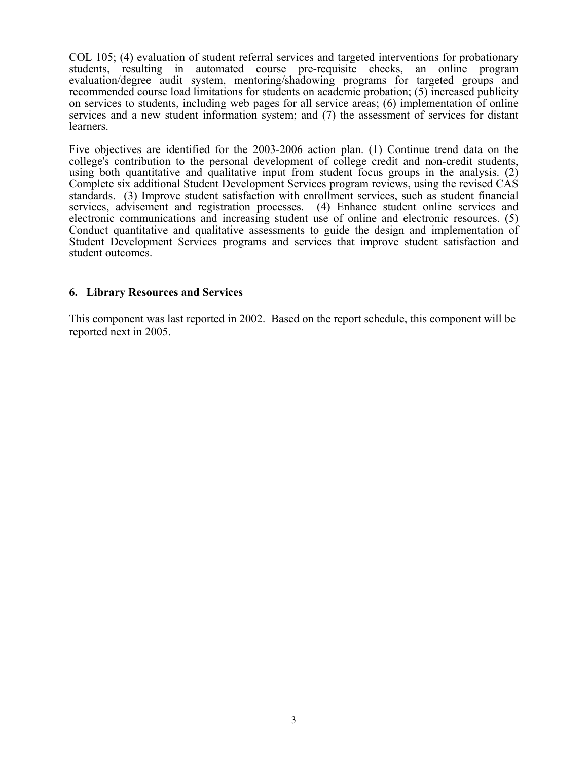COL 105; (4) evaluation of student referral services and targeted interventions for probationary students, resulting in automated course pre-requisite checks, an online program evaluation/degree audit system, mentoring/shadowing programs for targeted groups and recommended course load limitations for students on academic probation; (5) increased publicity on services to students, including web pages for all service areas; (6) implementation of online services and a new student information system; and (7) the assessment of services for distant learners.

Five objectives are identified for the 2003-2006 action plan. (1) Continue trend data on the college's contribution to the personal development of college credit and non-credit students, using both quantitative and qualitative input from student focus groups in the analysis. (2) Complete six additional Student Development Services program reviews, using the revised CAS standards. (3) Improve student satisfaction with enrollment services, such as student financial services, advisement and registration processes. (4) Enhance student online services and electronic communications and increasing student use of online and electronic resources. (5) Conduct quantitative and qualitative assessments to guide the design and implementation of Student Development Services programs and services that improve student satisfaction and student outcomes.

#### **6. Library Resources and Services**

This component was last reported in 2002. Based on the report schedule, this component will be reported next in 2005.